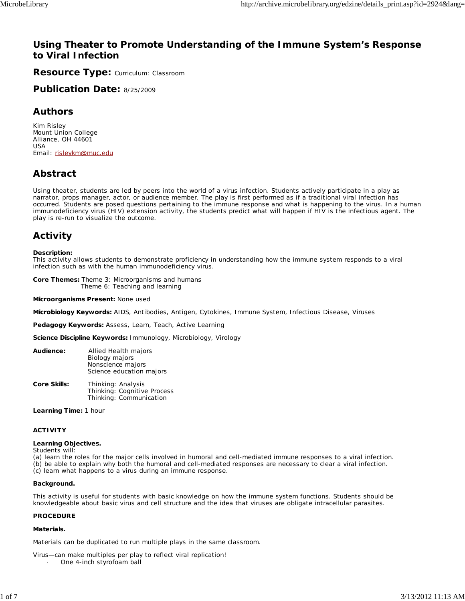# **Using Theater to Promote Understanding of the Immune System's Response to Viral Infection**

**Resource Type:** Curriculum: Classroom

**Publication Date:** 8/25/2009

# **Authors**

*Kim Risley* Mount Union College Alliance, OH 44601 USA Email: risleykm@muc.edu

# **Abstract**

Using theater, students are led by peers into the world of a virus infection. Students actively participate in a play as narrator, props manager, actor, or audience member. The play is first performed as if a traditional viral infection has occurred. Students are posed questions pertaining to the immune response and what is happening to the virus. In a human immunodeficiency virus (HIV) extension activity, the students predict what will happen if HIV is the infectious agent. The play is re-run to visualize the outcome.

# **Activity**

#### **Description:**

This activity allows students to demonstrate proficiency in understanding how the immune system responds to a viral infection such as with the human immunodeficiency virus.

**Core Themes:** Theme 3: Microorganisms and humans Theme 6: Teaching and learning

**Microorganisms Present:** None used

**Microbiology Keywords:** AIDS, Antibodies, Antigen, Cytokines, Immune System, Infectious Disease, Viruses

**Pedagogy Keywords:** Assess, Learn, Teach, Active Learning

**Science Discipline Keywords:** Immunology, Microbiology, Virology

| Audience:    | Allied Health majors<br>Biology majors<br>Nonscience majors<br>Science education majors |
|--------------|-----------------------------------------------------------------------------------------|
| Core Skills: | Thinking: Analysis<br>Thinking: Cognitive Process<br>Thinking: Communication            |

**Learning Time:** 1 hour

#### **ACTIVITY**

#### **Learning Objectives.**

Students will:

(a) learn the roles for the major cells involved in humoral and cell-mediated immune responses to a viral infection. (b) be able to explain why both the humoral and cell-mediated responses are necessary to clear a viral infection.

(c) learn what happens to a virus during an immune response.

#### **Background.**

This activity is useful for students with basic knowledge on how the immune system functions. Students should be knowledgeable about basic virus and cell structure and the idea that viruses are obligate intracellular parasites.

#### **PROCEDURE**

#### **Materials.**

Materials can be duplicated to run multiple plays in the same classroom.

Virus—can make multiples per play to reflect viral replication! One 4-inch styrofoam ball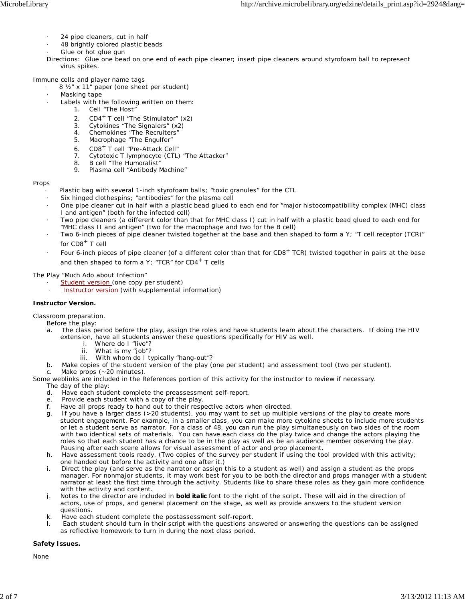- · 24 pipe cleaners, cut in half
	- 48 brightly colored plastic beads
	- Glue or hot glue gun
- Directions: Glue one bead on one end of each pipe cleaner; insert pipe cleaners around styrofoam ball to represent virus spikes.

Immune cells and player name tags

- 8 1/2" x 11" paper (one sheet per student)
- Masking tape
	- Labels with the following written on them:
		- 1. Cell "The Host"
		- 2.  $CD4^+$  T cell "The Stimulator"  $(x2)$
		- 3. Cytokines "The Signalers" (x2)
		- 4. Chemokines "The Recruiters"
		- 5. Macrophage "The Engulfer"
		- 6. CD8+ T cell "Pre-Attack Cell"
		- 7. Cytotoxic T lymphocyte (CTL) "The Attacker"
		- 8. B cell "The Humoralist"
		- 9. Plasma cell "Antibody Machine"

#### Props

- Plastic bag with several 1-inch styrofoam balls; "toxic granules" for the CTL
- Six hinged clothespins; "antibodies" for the plasma cell
- · One pipe cleaner cut in half with a plastic bead glued to each end for "major histocompatibility complex (MHC) class I and antigen" (both for the infected cell)
- Two pipe cleaners (a different color than that for MHC class I) cut in half with a plastic bead glued to each end for "MHC class II and antigen" (two for the macrophage and two for the B cell)
- Two 6-inch pieces of pipe cleaner twisted together at the base and then shaped to form a Y; "T cell receptor (TCR)" for  $CDB<sup>+</sup>$  T cell
- Four 6-inch pieces of pipe cleaner (of a different color than that for  $CDB<sup>+</sup> TCR$ ) twisted together in pairs at the base and then shaped to form a Y; "TCR" for  $CD4^+$  T cells

The Play "Much Ado about Infection"

- Student version (one copy per student)
- Instructor version (with supplemental information)

#### **Instructor Version.**

Classroom preparation.

- Before the play:
- a. The class period before the play, assign the roles and have students learn about the characters. If doing the HIV extension, have all students answer these questions specifically for HIV as well.
	- Where do I "live"?
	- ii. What is my "job"?
	- iii. With whom do I typically "hang-out"?
- b. Make copies of the student version of the play (one per student) and assessment tool (two per student).<br>c. Make props (~20 minutes).
	- Make props (~20 minutes).

Some weblinks are included in the References portion of this activity for the instructor to review if necessary.

- The day of the play:
- d. Have each student complete the preassessment self-report.
- e. Provide each student with a copy of the play.
- f. Have all props ready to hand out to their respective actors when directed.
- g. If you have a larger class (>20 students), you may want to set up multiple versions of the play to create more student engagement. For example, in a smaller class, you can make more cytokine sheets to include more students or let a student serve as narrator. For a class of 48, you can run the play simultaneously on two sides of the room with two identical sets of materials. You can have each class do the play twice and change the actors playing the roles so that each student has a chance to be in the play as well as be an audience member observing the play. Pausing after each scene allows for visual assessment of actor and prop placement.
- h. Have assessment tools ready. (Two copies of the survey per student if using the tool provided with this activity; one handed out before the activity and one after it.)
- i. Direct the play (and serve as the narrator or assign this to a student as well) and assign a student as the props manager. For nonmajor students, it may work best for you to be both the director and props manager with a student narrator at least the first time through the activity. Students like to share these roles as they gain more confidence with the activity and content.
- j. Notes to the director are included in *bold italic* font to the right of the script*.* These will aid in the direction of actors, use of props, and general placement on the stage, as well as provide answers to the student version questions.
- k. Have each student complete the postassessment self-report.
- Each student should turn in their script with the questions answered or answering the questions can be assigned as reflective homework to turn in during the next class period.

#### **Safety Issues.**

None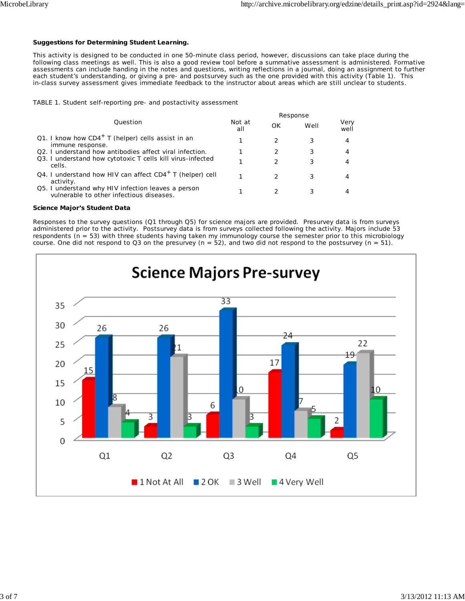#### **Suggestions for Determining Student Learning.**

This activity is designed to be conducted in one 50-minute class period, however, discussions can take place during the following class meetings as well. This is also a good review tool before a summative assessment is administered. Formative assessments can include handing in the notes and questions, writing reflections in a journal, doing an assignment to further each student's understanding, or giving a pre- and postsurvey such as the one provided with this activity (Table 1). This in-class survey assessment gives immediate feedback to the instructor about areas which are still unclear to students.

TABLE 1. Student self-reporting pre- and postactivity assessment

|                                                                                                | Response      |    |      |              |
|------------------------------------------------------------------------------------------------|---------------|----|------|--------------|
| Question                                                                                       | Not at<br>all | OK | Well | Very<br>well |
| Q1. I know how $CD4^+$ T (helper) cells assist in an<br>immune response.                       |               |    | 3    | 4            |
| Q2. I understand how antibodies affect viral infection.                                        |               | 2  | 3    | 4            |
| Q3. I understand how cytotoxic T cells kill virus-infected<br>cells.                           |               | 2  | 3    | 4            |
| Q4. I understand how HIV can affect $CD4^+$ T (helper) cell<br>activity.                       |               |    | 3    | 4            |
| Q5. I understand why HIV infection leaves a person<br>vulnerable to other infectious diseases. |               |    |      |              |

#### **Science Major's Student Data**

Responses to the survey questions (Q1 through Q5) for science majors are provided. Presurvey data is from surveys administered prior to the activity. Postsurvey data is from surveys collected following the activity. Majors include 53 respondents (*n* = 53) with three students having taken my immunology course the semester prior to this microbiology course. One did not respond to Q3 on the presurvey  $(n = 52)$ , and two did not respond to the postsurvey  $(n = 51)$ .

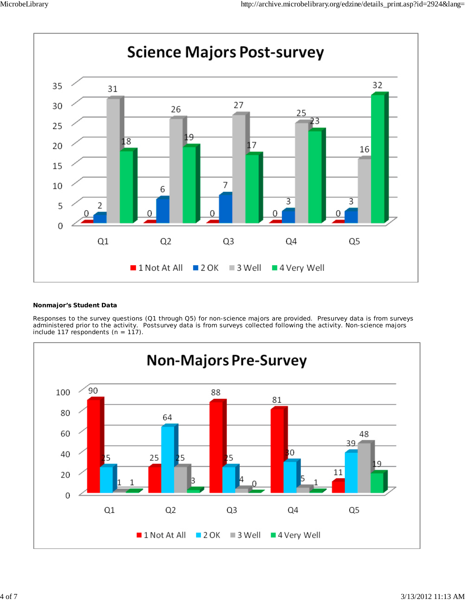

#### **Nonmajor's Student Data**

Responses to the survey questions (Q1 through Q5) for non-science majors are provided. Presurvey data is from surveys administered prior to the activity. Postsurvey data is from surveys collected following the activity. Non-science majors include 117 respondents  $(n = 117)$ .

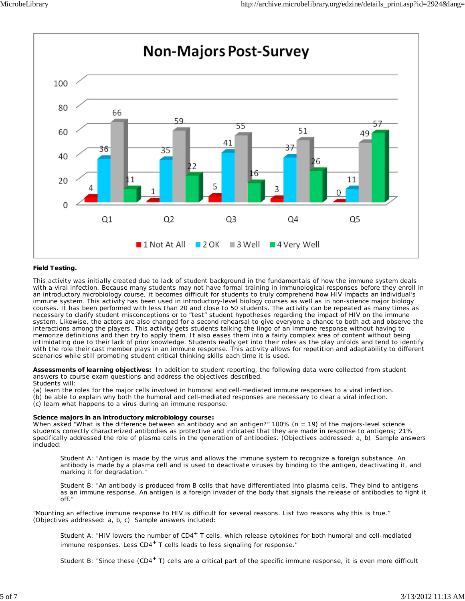

#### **Field Testing.**

This activity was initially created due to lack of student background in the fundamentals of how the immune system deals with a viral infection. Because many students may not have formal training in immunological responses before they enroll in an introductory microbiology course, it becomes difficult for students to truly comprehend how HIV impacts an individual's immune system. This activity has been used in introductory-level biology courses as well as in non-science major biology courses. It has been performed with less than 20 and close to 50 students. The activity can be repeated as many times as necessary to clarify student misconceptions or to "test" student hypotheses regarding the impact of HIV on the immune system. Likewise, the actors are also changed for a second rehearsal to give everyone a chance to both act and observe the interactions among the players. This activity gets students talking the lingo of an immune response without having to memorize definitions and then try to apply them. It also eases them into a fairly complex area of content without being intimidating due to their lack of prior knowledge. Students really get into their roles as the play unfolds and tend to identify with the role their cast member plays in an immune response. This activity allows for repetition and adaptability to different scenarios while still promoting student critical thinking skills each time it is used.

**Assessments of learning objectives:** In addition to student reporting, the following data were collected from student answers to course exam questions and address the objectives described.

Students will:

(a) learn the roles for the major cells involved in humoral and cell-mediated immune responses to a viral infection.

(b) be able to explain why both the humoral and cell-mediated responses are necessary to clear a viral infection.

(c) learn what happens to a virus during an immune response.

#### **Science majors in an introductory microbiology course:**

When asked "What is the difference between an antibody and an antigen?"  $100\%$  ( $n = 19$ ) of the majors-level science students correctly characterized antibodies as protective and indicated that they are made in response to antigens; 21% specifically addressed the role of plasma cells in the generation of antibodies. (Objectives addressed: a, b) Sample answers included:

Student A: "Antigen is made by the virus and allows the immune system to recognize a foreign substance. An antibody is made by a plasma cell and is used to deactivate viruses by binding to the antigen, deactivating it, and marking it for degradation."

Student B: "An antibody is produced from B cells that have differentiated into plasma cells. They bind to antigens as an immune response. An antigen is a foreign invader of the body that signals the release of antibodies to fight it off."

"Mounting an effective immune response to HIV is difficult for several reasons. List two reasons why this is true." (Objectives addressed: a, b, c) Sample answers included:

Student A: "HIV lowers the number of CD4<sup>+</sup> T cells, which release cytokines for both humoral and cell-mediated immune responses. Less  $CD4<sup>+</sup>$  T cells leads to less signaling for response."

Student B: "Since these  $(CD4<sup>+</sup> T)$  cells are a critical part of the specific immune response, it is even more difficult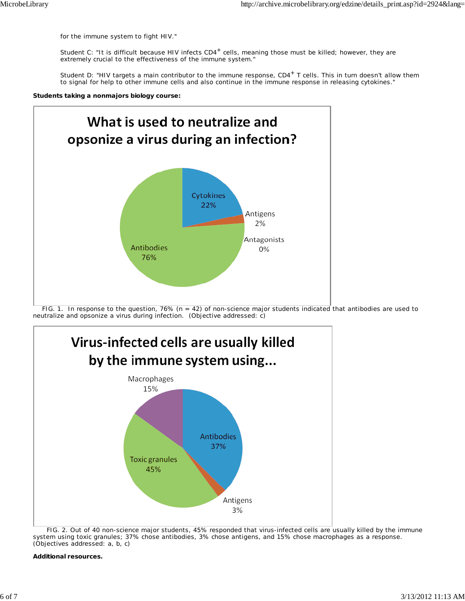for the immune system to fight HIV."

Student C: "It is difficult because HIV infects CD4<sup>+</sup> cells, meaning those must be killed; however, they are extremely crucial to the effectiveness of the immune system."

Student D: "HIV targets a main contributor to the immune response, CD4<sup>+</sup> T cells. This in turn doesn't allow them to signal for help to other immune cells and also continue in the immune response in releasing cytokines."

**Students taking a nonmajors biology course:**



 FIG. 1. In response to the question, 76% (*n* = 42) of non-science major students indicated that antibodies are used to neutralize and opsonize a virus during infection. (Objective addressed: c)



 FIG. 2. Out of 40 non-science major students, 45% responded that virus-infected cells are usually killed by the immune system using toxic granules; 37% chose antibodies, 3% chose antigens, and 15% chose macrophages as a response. (Objectives addressed: a, b, c)

**Additional resources.**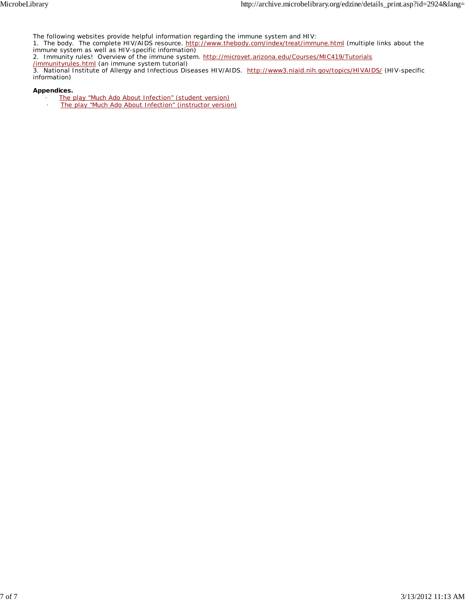The following websites provide helpful information regarding the immune system and HIV:

1. The body. The complete HIV/AIDS resource. http://www.thebody.com/index/treat/immune.html (multiple links about the immune system as well as HIV-specific information)

2. Immunity rules! Overview of the immune system. http://microvet.arizona.edu/Courses/MIC419/Tutorials

/immunityrules.html (an immune system tutorial)

3. National Institute of Allergy and Infectious Diseases HIV/AIDS. http://www3.niaid.nih.gov/topics/HIVAIDS/ (HIV-specific information)

**Appendices.**

- The play "Much Ado About Infection" (student version)
- The play "Much Ado About Infection" (instructor version)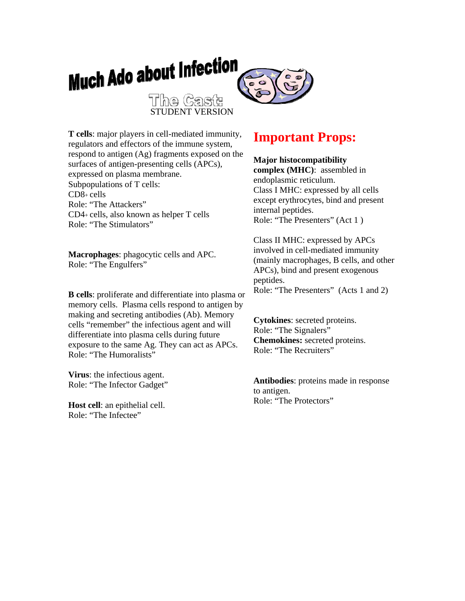

**T cells**: major players in cell-mediated immunity, regulators and effectors of the immune system, respond to antigen (Ag) fragments exposed on the surfaces of antigen-presenting cells (APCs), expressed on plasma membrane. Subpopulations of T cells:  $CD8 +$  cells Role: "The Attackers" CD4+ cells, also known as helper T cells Role: "The Stimulators"

**Macrophages**: phagocytic cells and APC. Role: "The Engulfers"

**B cells**: proliferate and differentiate into plasma or memory cells. Plasma cells respond to antigen by making and secreting antibodies (Ab). Memory cells "remember" the infectious agent and will differentiate into plasma cells during future exposure to the same Ag. They can act as APCs. Role: "The Humoralists"

**Virus**: the infectious agent. Role: "The Infector Gadget"

**Host cell**: an epithelial cell. Role: "The Infectee"

# **Important Props:**

### **Major histocompatibility**

**complex (MHC)**: assembled in endoplasmic reticulum. Class I MHC: expressed by all cells except erythrocytes, bind and present internal peptides. Role: "The Presenters" (Act 1 )

Class II MHC: expressed by APCs involved in cell-mediated immunity (mainly macrophages, B cells, and other APCs), bind and present exogenous peptides. Role: "The Presenters" (Acts 1 and 2)

**Cytokines**: secreted proteins. Role: "The Signalers" **Chemokines:** secreted proteins. Role: "The Recruiters"

**Antibodies**: proteins made in response to antigen. Role: "The Protectors"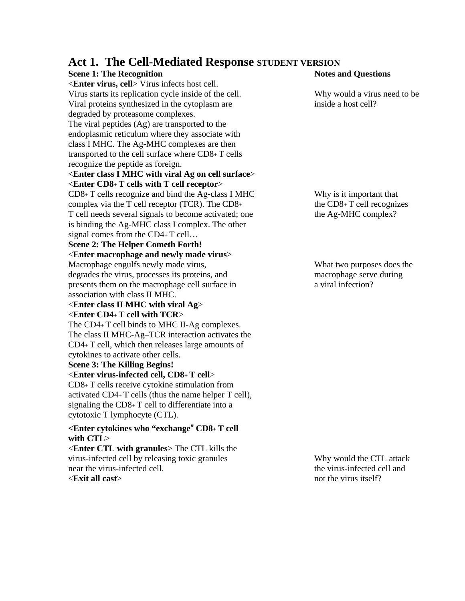# **Act 1. The Cell-Mediated Response STUDENT VERSION**

# **Scene 1: The Recognition Notes and Questions** <**Enter virus, cell**> Virus infects host cell. Virus starts its replication cycle inside of the cell. Why would a virus need to be Viral proteins synthesized in the cytoplasm are inside a host cell? degraded by proteasome complexes. The viral peptides (Ag) are transported to the endoplasmic reticulum where they associate with class I MHC. The Ag-MHC complexes are then transported to the cell surface where CD8+ T cells recognize the peptide as foreign. <**Enter class I MHC with viral Ag on cell surface**> <**Enter CD8+ T cells with T cell receptor**> CD8+ T cells recognize and bind the Ag-class I MHC Why is it important that complex via the T cell receptor (TCR). The  $CD8<sub>+</sub>$  the  $CD8<sub>+</sub>$  T cell recognizes T cell needs several signals to become activated; one the Ag-MHC complex? is binding the Ag-MHC class I complex. The other signal comes from the CD4+ T cell... **Scene 2: The Helper Cometh Forth!**  <**Enter macrophage and newly made virus**> Macrophage engulfs newly made virus, What two purposes does the degrades the virus, processes its proteins, and macrophage serve during presents them on the macrophage cell surface in a viral infection? association with class II MHC. <**Enter class II MHC with viral Ag**> <**Enter CD4+ T cell with TCR**> The CD4+ T cell binds to MHC II-Ag complexes. The class II MHC-Ag–TCR interaction activates the CD4+ T cell, which then releases large amounts of cytokines to activate other cells. **Scene 3: The Killing Begins!**  <**Enter virus-infected cell, CD8+ T cell**>

CD8+ T cells receive cytokine stimulation from activated CD4+ T cells (thus the name helper T cell), signaling the CD8+ T cell to differentiate into a cytotoxic T lymphocyte (CTL).

#### **<Enter cytokines who "exchange**" **CD8+ T cell with CTL**>

<**Enter CTL with granules**> The CTL kills the virus-infected cell by releasing toxic granules Why would the CTL attack near the virus-infected cell. the virus-infected cell and <**Exit all cast**> not the virus itself?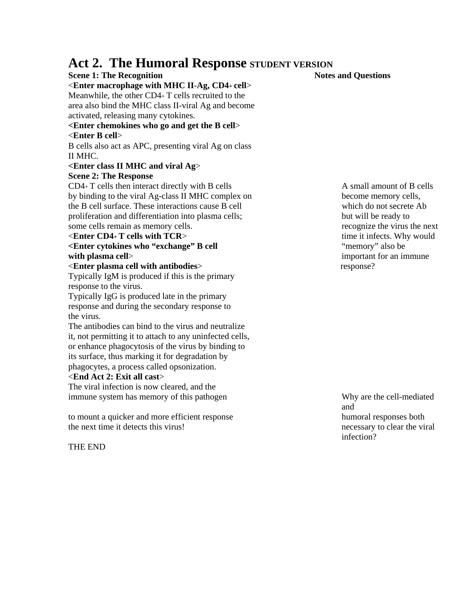# Act 2. The Humoral Response **STUDENT VERSION**

#### **Scene 1: The Recognition Notes and Questions** <**Enter macrophage with MHC II**-**Ag, CD4+ cell**> Meanwhile, the other CD4+ T cells recruited to the area also bind the MHC class II-viral Ag and become activated, releasing many cytokines.

### **<Enter chemokines who go and get the B cell**>

# <**Enter B cell**>

B cells also act as APC, presenting viral Ag on class II MHC.

#### **<Enter class II MHC and viral Ag**> **Scene 2: The Response**

 $CD4+T$  cells then interact directly with B cells  $\overline{AB}$  A small amount of B cells by binding to the viral Ag-class II MHC complex on become memory cells, the B cell surface. These interactions cause B cell which do not secrete Ab proliferation and differentiation into plasma cells; but will be ready to some cells remain as memory cells. The next recognize the virus the next

#### **Example 1 CD4+ T cells with TCR>** time it infects. Why would

### **<Enter cytokines who "exchange" B cell** "memory" also be **with plasma cell**> important for an immune

<**Enter plasma cell with antibodies**> response? Typically IgM is produced if this is the primary response to the virus.

Typically IgG is produced late in the primary response and during the secondary response to the virus.

The antibodies can bind to the virus and neutralize it, not permitting it to attach to any uninfected cells, or enhance phagocytosis of the virus by binding to its surface, thus marking it for degradation by phagocytes, a process called opsonization.

# <**End Act 2: Exit all cast**>

The viral infection is now cleared, and the immune system has memory of this pathogen Why are the cell-mediated

to mount a quicker and more efficient response humoral responses both the next time it detects this virus! necessary to clear the viral

THE END

and infection?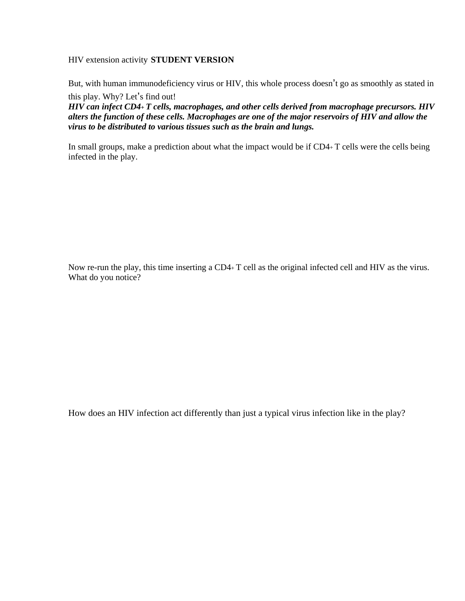HIV extension activity **STUDENT VERSION**

But, with human immunodeficiency virus or HIV, this whole process doesn't go as smoothly as stated in

this play. Why? Let's find out!

*HIV can infect CD4+ T cells, macrophages, and other cells derived from macrophage precursors. HIV alters the function of these cells. Macrophages are one of the major reservoirs of HIV and allow the virus to be distributed to various tissues such as the brain and lungs.* 

In small groups, make a prediction about what the impact would be if CD4+ T cells were the cells being infected in the play.

Now re-run the play, this time inserting a CD4+ T cell as the original infected cell and HIV as the virus. What do you notice?

How does an HIV infection act differently than just a typical virus infection like in the play?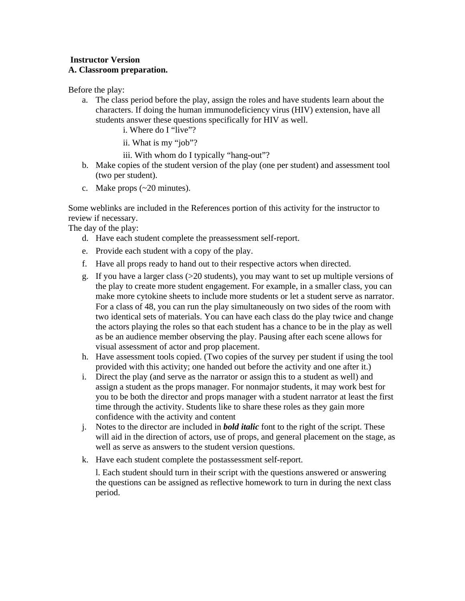### **Instructor Version A. Classroom preparation.**

Before the play:

- a. The class period before the play, assign the roles and have students learn about the characters. If doing the human immunodeficiency virus (HIV) extension, have all students answer these questions specifically for HIV as well.
	- i. Where do I "live"?
	- ii. What is my "job"?

iii. With whom do I typically "hang-out"?

- b. Make copies of the student version of the play (one per student) and assessment tool (two per student).
- c. Make props (~20 minutes).

Some weblinks are included in the References portion of this activity for the instructor to review if necessary.

The day of the play:

- d. Have each student complete the preassessment self-report.
- e. Provide each student with a copy of the play.
- f. Have all props ready to hand out to their respective actors when directed.
- g. If you have a larger class  $(>=20$  students), you may want to set up multiple versions of the play to create more student engagement. For example, in a smaller class, you can make more cytokine sheets to include more students or let a student serve as narrator. For a class of 48, you can run the play simultaneously on two sides of the room with two identical sets of materials. You can have each class do the play twice and change the actors playing the roles so that each student has a chance to be in the play as well as be an audience member observing the play. Pausing after each scene allows for visual assessment of actor and prop placement.
- h. Have assessment tools copied. (Two copies of the survey per student if using the tool provided with this activity; one handed out before the activity and one after it.)
- i. Direct the play (and serve as the narrator or assign this to a student as well) and assign a student as the props manager. For nonmajor students, it may work best for you to be both the director and props manager with a student narrator at least the first time through the activity. Students like to share these roles as they gain more confidence with the activity and content
- j. Notes to the director are included in *bold italic* font to the right of the script. These will aid in the direction of actors, use of props, and general placement on the stage, as well as serve as answers to the student version questions.
- k. Have each student complete the postassessment self-report.

l. Each student should turn in their script with the questions answered or answering the questions can be assigned as reflective homework to turn in during the next class period.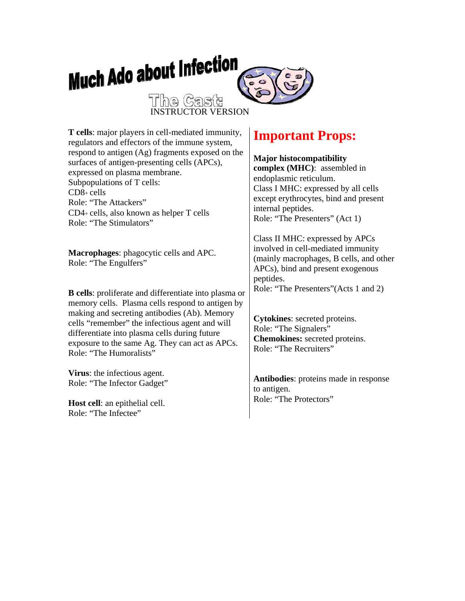

expressed on plasma membrane. Subpopulations of T cells: Role: "The Attackers" CD4+ cells, also known as helper T cells Role: "The Stimulators"

**Macrophages**: phagocytic cells and APC. Role: "The Engulfers"

CD8+ cells

**B cells**: proliferate and differentiate into plasma or memory cells. Plasma cells respond to antigen by making and secreting antibodies (Ab). Memory cells "remember" the infectious agent and will differentiate into plasma cells during future exposure to the same Ag. They can act as APCs. Role: "The Humoralists"

**Virus**: the infectious agent. Role: "The Infector Gadget"

**Host cell**: an epithelial cell. Role: "The Infectee"

# **complex (MHC)**: assembled in endoplasmic reticulum.

Class I MHC: expressed by all cells except erythrocytes, bind and present internal peptides. Role: "The Presenters" (Act 1)

Class II MHC: expressed by APCs involved in cell-mediated immunity (mainly macrophages, B cells, and other APCs), bind and present exogenous peptides. Role: "The Presenters"(Acts 1 and 2)

**Cytokines**: secreted proteins. Role: "The Signalers" **Chemokines:** secreted proteins. Role: "The Recruiters"

**Antibodies**: proteins made in response to antigen. Role: "The Protectors"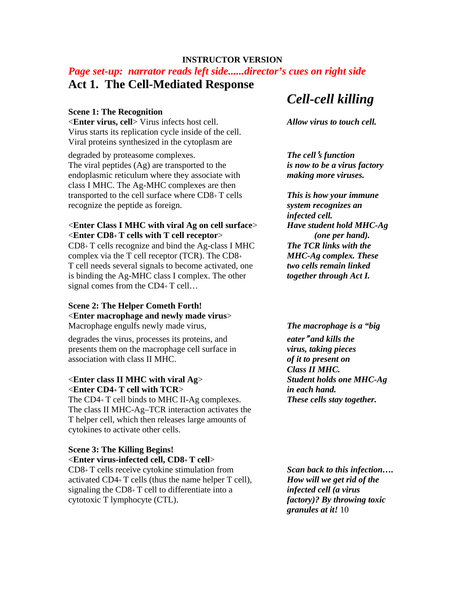### **INSTRUCTOR VERSION**

# *Page set-up: narrator reads left side......director's cues on right side* **Act 1. The Cell-Mediated Response**

#### **Scene 1: The Recognition**

<**Enter virus, cell**> Virus infects host cell. *Allow virus to touch cell.*  Virus starts its replication cycle inside of the cell. Viral proteins synthesized in the cytoplasm are

degraded by proteasome complexes. *The cell*'*s function*  The viral peptides (Ag) are transported to the *is now to be a virus factory*  endoplasmic reticulum where they associate with *making more viruses.*  class I MHC. The Ag-MHC complexes are then transported to the cell surface where CD8+ T cells *This is how your immune*  recognize the peptide as foreign. *system recognizes an* 

#### <**Enter Class I MHC with viral Ag on cell surface**> *Have student hold MHC-Ag*  <**Enter CD8+ T cells with T cell receptor**> *(one per hand).*

CD8+ T cells recognize and bind the Ag-class I MHC *The TCR links with the*  complex via the T cell receptor (TCR). The CD8+ *MHC-Ag complex. These*  T cell needs several signals to become activated, one *two cells remain linked*  is binding the Ag-MHC class I complex. The other *together through Act I.* signal comes from the CD4+ T cell…

#### **Scene 2: The Helper Cometh Forth!**  <**Enter macrophage and newly made virus**> Macrophage engulfs newly made virus, *The macrophage is a "big*

degrades the virus, processes its proteins, and *eater*" *and kills the*  presents them on the macrophage cell surface in *virus, taking pieces*  association with class II MHC. *of it to present on* 

#### <**Enter class II MHC with viral Ag**> *Student holds one MHC-Ag*  <**Enter CD4+ T cell with TCR**> *in each hand.*

The CD4+ T cell binds to MHC II-Ag complexes. *These cells stay together.*  The class II MHC-Ag–TCR interaction activates the T helper cell, which then releases large amounts of cytokines to activate other cells.

### **Scene 3: The Killing Begins!**

<**Enter virus-infected cell, CD8+ T cell**>

CD8+ T cells receive cytokine stimulation from *Scan back to this infection….*  activated CD4+ T cells (thus the name helper T cell), *How will we get rid of the*  signaling the CD8+ T cell to differentiate into a *infected cell (a virus*  cytotoxic T lymphocyte (CTL). *factory)? By throwing toxic* 

# *Cell-cell killing*

*infected cell.* 

*Class II MHC.* 

*granules at it!* 10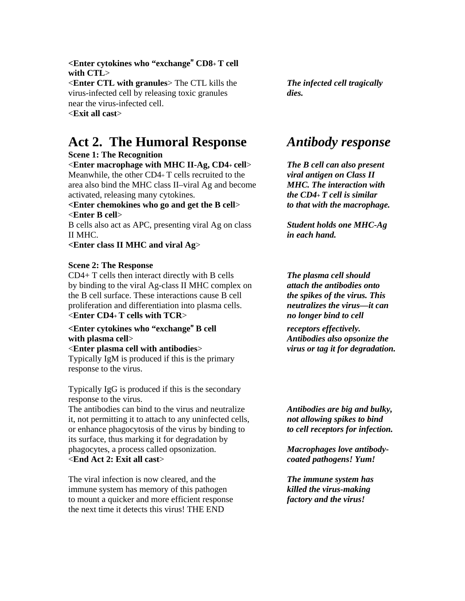**<Enter cytokines who "exchange**" **CD8+ T cell with CTL**>

<**Enter CTL with granules**> The CTL kills the *The infected cell tragically*  virus-infected cell by releasing toxic granules *dies.*  near the virus-infected cell. <**Exit all cast**>

# **Act 2. The Humoral Response** *Antibody response*

#### **Scene 1: The Recognition**

<**Enter macrophage with MHC II-Ag, CD4+ cell**> *The B cell can also present*  Meanwhile, the other CD4+ T cells recruited to the *viral antigen on Class II*  area also bind the MHC class II–viral Ag and become *MHC. The interaction with*  activated, releasing many cytokines. *the CD4+ T cell is similar* 

**<Enter chemokines who go and get the B cell**> *to that with the macrophage.*  <**Enter B cell**>

B cells also act as APC, presenting viral Ag on class *Student holds one MHC-Ag*  II MHC. *in each hand.* 

**<Enter class II MHC and viral Ag**>

#### **Scene 2: The Response**

CD4+ T cells then interact directly with B cells *The plasma cell should*  by binding to the viral Ag-class II MHC complex on *attach the antibodies onto*  the B cell surface. These interactions cause B cell *the spikes of the virus. This*  proliferation and differentiation into plasma cells. *neutralizes the virus—it can*  <**Enter CD4+ T cells with TCR**> *no longer bind to cell* 

# **<Enter cytokines who "exchange**" **B cell** *receptors effectively.*

<**Enter plasma cell with antibodies**> *virus or tag it for degradation.*  Typically IgM is produced if this is the primary response to the virus.

Typically IgG is produced if this is the secondary response to the virus.

The antibodies can bind to the virus and neutralize *Antibodies are big and bulky,*  it, not permitting it to attach to any uninfected cells, *not allowing spikes to bind*  or enhance phagocytosis of the virus by binding to *to cell receptors for infection.*  its surface, thus marking it for degradation by phagocytes, a process called opsonization. *Macrophages love antibody-*  <**End Act 2: Exit all cast**> *coated pathogens! Yum!* 

The viral infection is now cleared, and the *The immune system has*  immune system has memory of this pathogen *killed the virus-making*  to mount a quicker and more efficient response *factory and the virus!*  the next time it detects this virus! THE END

**with plasma cell**> *Antibodies also opsonize the*